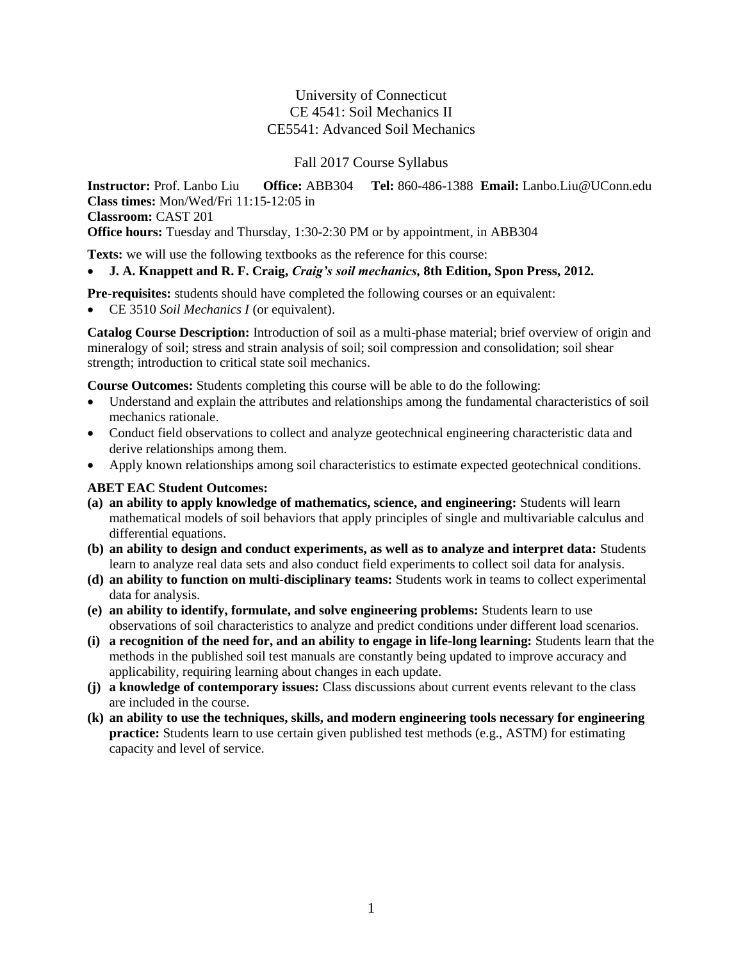# University of Connecticut CE 4541: Soil Mechanics II CE5541: Advanced Soil Mechanics

#### Fall 2017 Course Syllabus

**Instructor:** Prof. Lanbo Liu **Office:** ABB304 **Tel:** 860-486-1388 **Email:** Lanbo.Liu@UConn.edu **Class times:** Mon/Wed/Fri 11:15-12:05 in **Classroom:** CAST 201 **Office hours:** Tuesday and Thursday, 1:30-2:30 PM or by appointment, in ABB304

**Texts:** we will use the following textbooks as the reference for this course:

# **J. A. Knappett and R. F. Craig,** *Craig's soil mechanics,* **8th Edition, Spon Press, 2012.**

**Pre-requisites:** students should have completed the following courses or an equivalent:

CE 3510 *Soil Mechanics I* (or equivalent).

**Catalog Course Description:** Introduction of soil as a multi-phase material; brief overview of origin and mineralogy of soil; stress and strain analysis of soil; soil compression and consolidation; soil shear strength; introduction to critical state soil mechanics.

**Course Outcomes:** Students completing this course will be able to do the following:

- Understand and explain the attributes and relationships among the fundamental characteristics of soil mechanics rationale.
- Conduct field observations to collect and analyze geotechnical engineering characteristic data and derive relationships among them.
- Apply known relationships among soil characteristics to estimate expected geotechnical conditions.

# **ABET EAC Student Outcomes:**

- **(a) an ability to apply knowledge of mathematics, science, and engineering:** Students will learn mathematical models of soil behaviors that apply principles of single and multivariable calculus and differential equations.
- **(b) an ability to design and conduct experiments, as well as to analyze and interpret data:** Students learn to analyze real data sets and also conduct field experiments to collect soil data for analysis.
- **(d) an ability to function on multi-disciplinary teams:** Students work in teams to collect experimental data for analysis.
- **(e) an ability to identify, formulate, and solve engineering problems:** Students learn to use observations of soil characteristics to analyze and predict conditions under different load scenarios.
- **(i) a recognition of the need for, and an ability to engage in life-long learning:** Students learn that the methods in the published soil test manuals are constantly being updated to improve accuracy and applicability, requiring learning about changes in each update.
- **(j) a knowledge of contemporary issues:** Class discussions about current events relevant to the class are included in the course.
- **(k) an ability to use the techniques, skills, and modern engineering tools necessary for engineering practice:** Students learn to use certain given published test methods (e.g., ASTM) for estimating capacity and level of service.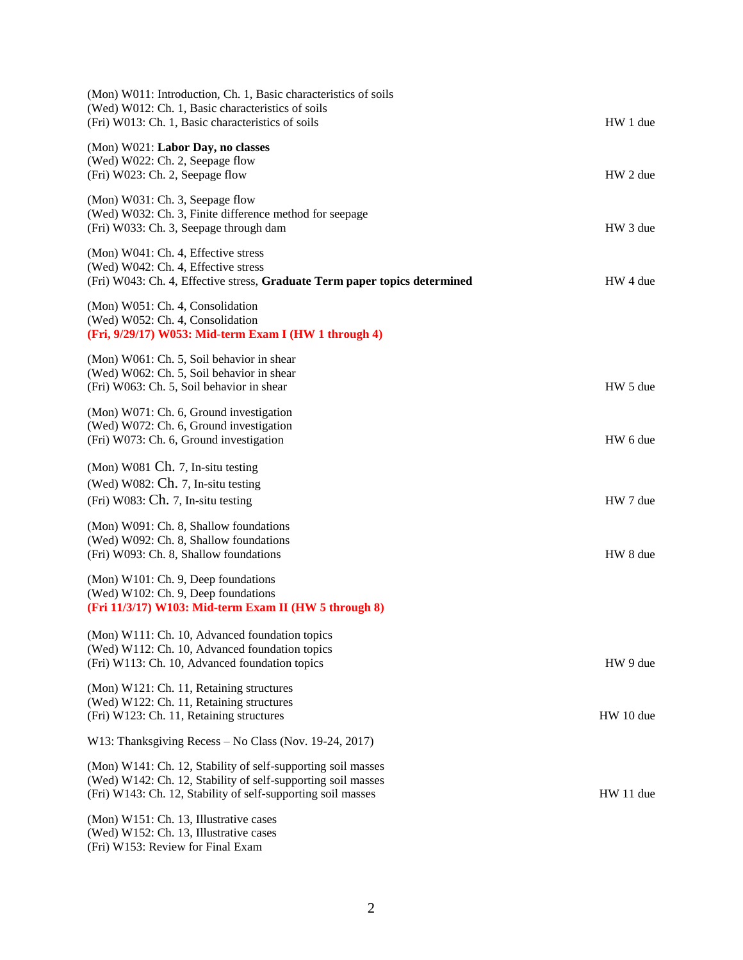| (Mon) W011: Introduction, Ch. 1, Basic characteristics of soils<br>(Wed) W012: Ch. 1, Basic characteristics of soils<br>(Fri) W013: Ch. 1, Basic characteristics of soils                    | HW 1 due  |
|----------------------------------------------------------------------------------------------------------------------------------------------------------------------------------------------|-----------|
| (Mon) W021: Labor Day, no classes<br>(Wed) W022: Ch. 2, Seepage flow<br>(Fri) W023: Ch. 2, Seepage flow                                                                                      | HW 2 due  |
| (Mon) W031: Ch. 3, Seepage flow<br>(Wed) W032: Ch. 3, Finite difference method for seepage<br>(Fri) W033: Ch. 3, Seepage through dam                                                         | HW 3 due  |
| (Mon) W041: Ch. 4, Effective stress<br>(Wed) W042: Ch. 4, Effective stress<br>(Fri) W043: Ch. 4, Effective stress, Graduate Term paper topics determined                                     | HW 4 due  |
| (Mon) W051: Ch. 4, Consolidation<br>(Wed) W052: Ch. 4, Consolidation<br>(Fri, 9/29/17) W053: Mid-term Exam I (HW 1 through 4)                                                                |           |
| (Mon) W061: Ch. 5, Soil behavior in shear<br>(Wed) W062: Ch. 5, Soil behavior in shear<br>(Fri) W063: Ch. 5, Soil behavior in shear                                                          | HW 5 due  |
| (Mon) W071: Ch. 6, Ground investigation<br>(Wed) W072: Ch. 6, Ground investigation<br>(Fri) W073: Ch. 6, Ground investigation                                                                | HW 6 due  |
| (Mon) W081 Ch. 7, In-situ testing<br>(Wed) W082: Ch. 7, In-situ testing<br>(Fri) W083: Ch. 7, In-situ testing                                                                                | HW 7 due  |
| (Mon) W091: Ch. 8, Shallow foundations<br>(Wed) W092: Ch. 8, Shallow foundations<br>(Fri) W093: Ch. 8, Shallow foundations                                                                   | HW 8 due  |
| (Mon) W101: Ch. 9, Deep foundations<br>(Wed) W102: Ch. 9, Deep foundations<br>(Fri 11/3/17) W103: Mid-term Exam II (HW 5 through 8)                                                          |           |
| (Mon) W111: Ch. 10, Advanced foundation topics<br>(Wed) W112: Ch. 10, Advanced foundation topics<br>(Fri) W113: Ch. 10, Advanced foundation topics                                           | HW 9 due  |
| (Mon) W121: Ch. 11, Retaining structures<br>(Wed) W122: Ch. 11, Retaining structures<br>(Fri) W123: Ch. 11, Retaining structures                                                             | HW 10 due |
| W13: Thanksgiving Recess - No Class (Nov. 19-24, 2017)                                                                                                                                       |           |
| (Mon) W141: Ch. 12, Stability of self-supporting soil masses<br>(Wed) W142: Ch. 12, Stability of self-supporting soil masses<br>(Fri) W143: Ch. 12, Stability of self-supporting soil masses | HW 11 due |
| (Mon) W151: Ch. 13, Illustrative cases<br>(Wed) W152: Ch. 13, Illustrative cases<br>(Fri) W153: Review for Final Exam                                                                        |           |